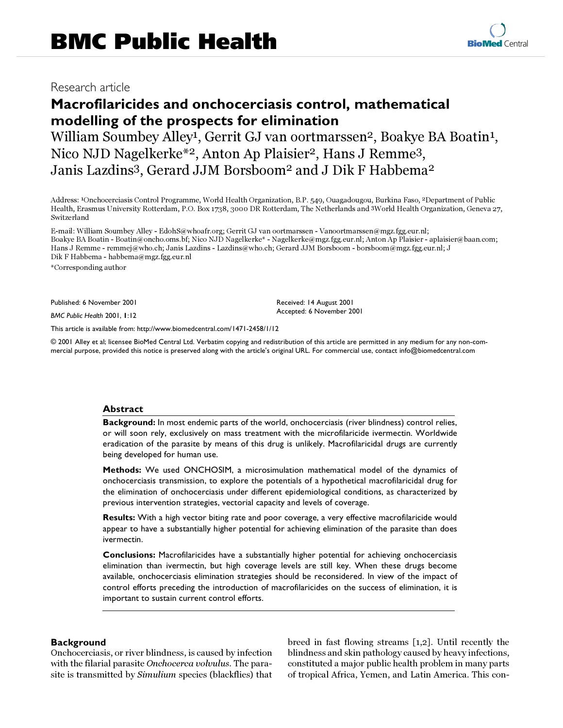# **Macrofilaricides and onchocerciasis control, mathematical modelling of the prospects for elimination**

William Soumbey Alley<sup>1</sup>, Gerrit GJ van oortmarssen<sup>2</sup>, Boakye BA Boatin<sup>1</sup>, Nico NJD Nagelkerke\*2, Anton Ap Plaisier2, Hans J Remme3, Janis Lazdins3, Gerard JJM Borsboom2 and J Dik F Habbema2

Address: 1Onchocerciasis Control Programme, World Health Organization, B.P. 549, Ouagadougou, Burkina Faso, 2Department of Public Health, Erasmus University Rotterdam, P.O. Box 1738, 3000 DR Rotterdam, The Netherlands and 3World Health Organization, Geneva 27, Switzerland

E-mail: William Soumbey Alley - EdohS@whoafr.org; Gerrit GJ van oortmarssen - Vanoortmarssen@mgz.fgg.eur.nl; Boakye BA Boatin - Boatin@oncho.oms.bf; Nico NJD Nagelkerke\* - Nagelkerke@mgz.fgg.eur.nl; Anton Ap Plaisier - aplaisier@baan.com; Hans J Remme - remmej@who.ch; Janis Lazdins - Lazdins@who.ch; Gerard JJM Borsboom - borsboom@mgz.fgg.eur.nl; J Dik F Habbema - habbema@mgz.fgg.eur.nl

\*Corresponding author

Published: 6 November 2001

*BMC Public Health* 2001, **1**:12

[This article is available from: http://www.biomedcentral.com/1471-2458/1/12](http://www.biomedcentral.com/1471-2458/1/12)

© 2001 Alley et al; licensee BioMed Central Ltd. Verbatim copying and redistribution of this article are permitted in any medium for any non-commercial purpose, provided this notice is preserved along with the article's original URL. For commercial use, contact info@biomedcentral.com

#### **Abstract**

**Background:** In most endemic parts of the world, onchocerciasis (river blindness) control relies, or will soon rely, exclusively on mass treatment with the microfilaricide ivermectin. Worldwide eradication of the parasite by means of this drug is unlikely. Macrofilaricidal drugs are currently being developed for human use.

**Methods:** We used ONCHOSIM, a microsimulation mathematical model of the dynamics of onchocerciasis transmission, to explore the potentials of a hypothetical macrofilaricidal drug for the elimination of onchocerciasis under different epidemiological conditions, as characterized by previous intervention strategies, vectorial capacity and levels of coverage.

**Results:** With a high vector biting rate and poor coverage, a very effective macrofilaricide would appear to have a substantially higher potential for achieving elimination of the parasite than does ivermectin.

**Conclusions:** Macrofilaricides have a substantially higher potential for achieving onchocerciasis elimination than ivermectin, but high coverage levels are still key. When these drugs become available, onchocerciasis elimination strategies should be reconsidered. In view of the impact of control efforts preceding the introduction of macrofilaricides on the success of elimination, it is important to sustain current control efforts.

### **Background**

Onchocerciasis, or river blindness, is caused by infection with the filarial parasite *Onchocerca volvulus*. The parasite is transmitted by Simulium species (blackflies) that

breed in fast flowing streams [\[1](#page-3-0)[,2\]](#page-3-1). Until recently the blindness and skin pathology caused by heavy infections, constituted a major public health problem in many parts of tropical Africa, Yemen, and Latin America. This con-

Received: 14 August 2001 Accepted: 6 November 2001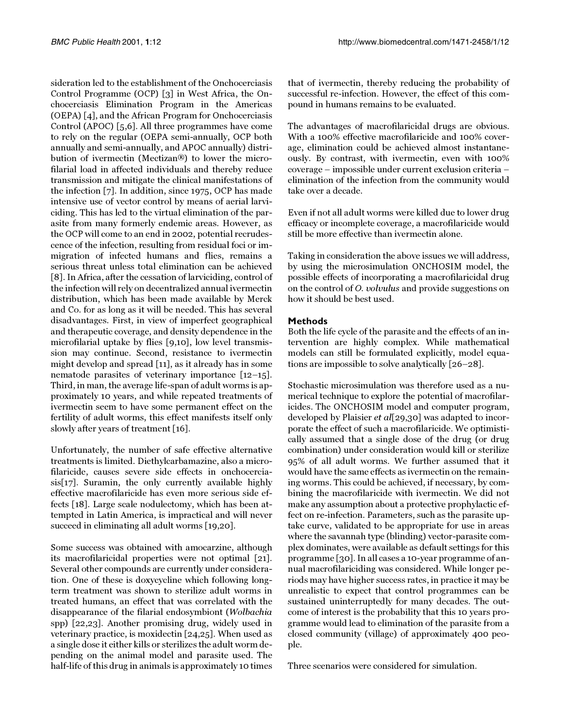sideration led to the establishment of the Onchocerciasis Control Programme (OCP) [\[3](#page-3-2)] in West Africa, the Onchocerciasis Elimination Program in the Americas (OEPA) [\[4](#page-3-3)], and the African Program for Onchocerciasis Control (APOC) [\[5](#page-3-4)[,6\]](#page-4-0). All three programmes have come to rely on the regular (OEPA semi-annually, OCP both annually and semi-annually, and APOC annually) distribution of ivermectin (Mectizan*®*) to lower the microfilarial load in affected individuals and thereby reduce transmission and mitigate the clinical manifestations of the infection [[7\]](#page-4-1). In addition, since 1975, OCP has made intensive use of vector control by means of aerial larviciding. This has led to the virtual elimination of the parasite from many formerly endemic areas. However, as the OCP will come to an end in 2002, potential recrudescence of the infection, resulting from residual foci or immigration of infected humans and flies, remains a serious threat unless total elimination can be achieved [[8\]](#page-4-2). In Africa, after the cessation of larviciding, control of the infection will rely on decentralized annual ivermectin distribution, which has been made available by Merck and Co. for as long as it will be needed. This has several disadvantages. First, in view of imperfect geographical and therapeutic coverage, and density dependence in the microfilarial uptake by flies [\[9,](#page-4-3)[10](#page-4-4)], low level transmission may continue. Second, resistance to ivermectin might develop and spread [\[11](#page-4-5)], as it already has in some nematode parasites of veterinary importance [\[12](#page-4-6)–[15\]](#page-4-7). Third, in man, the average life-span of adult worms is approximately 10 years, and while repeated treatments of ivermectin seem to have some permanent effect on the fertility of adult worms, this effect manifests itself only slowly after years of treatment [\[16](#page-4-8)].

Unfortunately, the number of safe effective alternative treatments is limited. Diethylcarbamazine, also a microfilaricide, causes severe side effects in onchocerciasis[\[17](#page-4-9)]. Suramin, the only currently available highly effective macrofilaricide has even more serious side effects [[18\]](#page-4-10). Large scale nodulectomy, which has been attempted in Latin America, is impractical and will never succeed in eliminating all adult worms [\[19](#page-4-11),[20](#page-4-12)].

Some success was obtained with amocarzine, although its macrofilaricidal properties were not optimal [\[21\]](#page-4-13). Several other compounds are currently under consideration. One of these is doxycycline which following longterm treatment was shown to sterilize adult worms in treated humans, an effect that was correlated with the disappearance of the filarial endosymbiont (Wolbachia spp) [\[22,](#page-4-14)[23](#page-4-15)]. Another promising drug, widely used in veterinary practice, is moxidectin [[24](#page-4-16)[,25](#page-4-17)]. When used as a single dose it either kills or sterilizes the adult worm depending on the animal model and parasite used. The half-life of this drug in animals is approximately 10 times

that of ivermectin, thereby reducing the probability of successful re-infection. However, the effect of this compound in humans remains to be evaluated.

The advantages of macrofilaricidal drugs are obvious. With a 100% effective macrofilaricide and 100% coverage, elimination could be achieved almost instantaneously. By contrast, with ivermectin, even with 100% coverage – impossible under current exclusion criteria – elimination of the infection from the community would take over a decade.

Even if not all adult worms were killed due to lower drug efficacy or incomplete coverage, a macrofilaricide would still be more effective than ivermectin alone.

Taking in consideration the above issues we will address, by using the microsimulation ONCHOSIM model, the possible effects of incorporating a macrofilaricidal drug on the control of O. volvulus and provide suggestions on how it should be best used.

## **Methods**

Both the life cycle of the parasite and the effects of an intervention are highly complex. While mathematical models can still be formulated explicitly, model equations are impossible to solve analytically [[26–](#page-4-18)[28](#page-4-19)].

Stochastic microsimulation was therefore used as a numerical technique to explore the potential of macrofilaricides. The ONCHOSIM model and computer program, developed by Plaisier et al[[29,](#page-4-20)[30\]](#page-4-21) was adapted to incorporate the effect of such a macrofilaricide. We optimistically assumed that a single dose of the drug (or drug combination) under consideration would kill or sterilize 95% of all adult worms. We further assumed that it would have the same effects as ivermectin on the remaining worms. This could be achieved, if necessary, by combining the macrofilaricide with ivermectin. We did not make any assumption about a protective prophylactic effect on re-infection. Parameters, such as the parasite uptake curve, validated to be appropriate for use in areas where the savannah type (blinding) vector-parasite complex dominates, were available as default settings for this programme [\[30](#page-4-21)]. In all cases a 10-year programme of annual macrofilariciding was considered. While longer periods may have higher success rates, in practice it may be unrealistic to expect that control programmes can be sustained uninterruptedly for many decades. The outcome of interest is the probability that this 10 years programme would lead to elimination of the parasite from a closed community (village) of approximately 400 people.

Three scenarios were considered for simulation.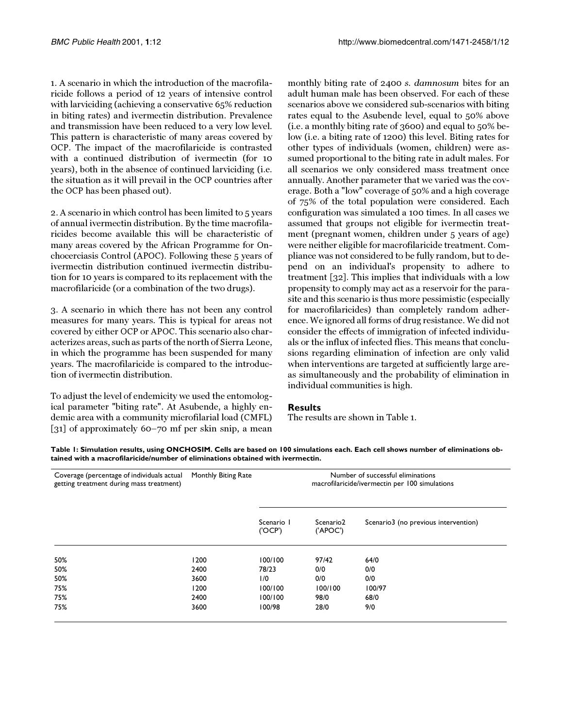1. A scenario in which the introduction of the macrofilaricide follows a period of 12 years of intensive control with larviciding (achieving a conservative 65% reduction in biting rates) and ivermectin distribution. Prevalence and transmission have been reduced to a very low level. This pattern is characteristic of many areas covered by OCP. The impact of the macrofilaricide is contrasted with a continued distribution of ivermectin (for 10 years), both in the absence of continued larviciding (i.e. the situation as it will prevail in the OCP countries after the OCP has been phased out).

2. A scenario in which control has been limited to 5 years of annual ivermectin distribution. By the time macrofilaricides become available this will be characteristic of many areas covered by the African Programme for Onchocerciasis Control (APOC). Following these 5 years of ivermectin distribution continued ivermectin distribution for 10 years is compared to its replacement with the macrofilaricide (or a combination of the two drugs).

3. A scenario in which there has not been any control measures for many years. This is typical for areas not covered by either OCP or APOC. This scenario also characterizes areas, such as parts of the north of Sierra Leone, in which the programme has been suspended for many years. The macrofilaricide is compared to the introduction of ivermectin distribution.

To adjust the level of endemicity we used the entomological parameter "biting rate". At Asubende, a highly endemic area with a community microfilarial load (CMFL) [[31](#page-4-22)] of approximately 60–70 mf per skin snip, a mean

monthly biting rate of 2400 s. damnosum bites for an adult human male has been observed. For each of these scenarios above we considered sub-scenarios with biting rates equal to the Asubende level, equal to 50% above (i.e. a monthly biting rate of 3600) and equal to 50% below (i.e. a biting rate of 1200) this level. Biting rates for other types of individuals (women, children) were assumed proportional to the biting rate in adult males. For all scenarios we only considered mass treatment once annually. Another parameter that we varied was the coverage. Both a "low" coverage of 50% and a high coverage of 75% of the total population were considered. Each configuration was simulated a 100 times. In all cases we assumed that groups not eligible for ivermectin treatment (pregnant women, children under 5 years of age) were neither eligible for macrofilaricide treatment. Compliance was not considered to be fully random, but to depend on an individual's propensity to adhere to treatment [\[32](#page-4-23)]. This implies that individuals with a low propensity to comply may act as a reservoir for the parasite and this scenario is thus more pessimistic (especially for macrofilaricides) than completely random adherence. We ignored all forms of drug resistance. We did not consider the effects of immigration of infected individuals or the influx of infected flies. This means that conclusions regarding elimination of infection are only valid when interventions are targeted at sufficiently large areas simultaneously and the probability of elimination in individual communities is high.

## **Results**

<span id="page-2-0"></span>The results are shown in Table [1.](#page-2-0)

**Table 1: Simulation results, using ONCHOSIM. Cells are based on 100 simulations each. Each cell shows number of eliminations obtained with a macrofilaricide/number of eliminations obtained with ivermectin.**

| Coverage (percentage of individuals actual<br>getting treatment during mass treatment) | Monthly Biting Rate | Number of successful eliminations<br>macrofilaricide/ivermectin per 100 simulations |                                   |                                      |
|----------------------------------------------------------------------------------------|---------------------|-------------------------------------------------------------------------------------|-----------------------------------|--------------------------------------|
|                                                                                        |                     | Scenario I<br>('OCP')                                                               | Scenario <sub>2</sub><br>('APOC') | Scenario3 (no previous intervention) |
| 50%                                                                                    | 1200                | 100/100                                                                             | 97/42                             | 64/0                                 |
| 50%                                                                                    | 2400                | 78/23                                                                               | 0/0                               | 0/0                                  |
| 50%                                                                                    | 3600                | 1/0                                                                                 | 0/0                               | 0/0                                  |
| 75%                                                                                    | 1200                | 100/100                                                                             | 100/100                           | 100/97                               |
| 75%                                                                                    | 2400                | 100/100                                                                             | 98/0                              | 68/0                                 |
| 75%                                                                                    | 3600                | 100/98                                                                              | 28/0                              | 9/0                                  |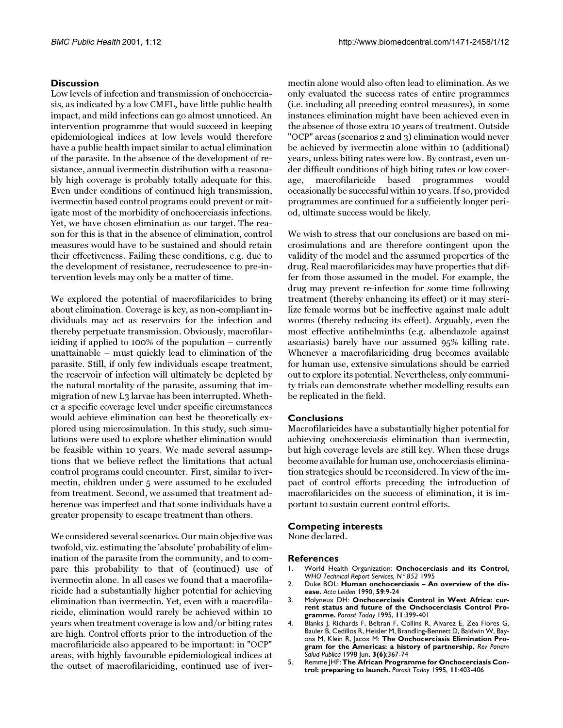## **Discussion**

Low levels of infection and transmission of onchocerciasis, as indicated by a low CMFL, have little public health impact, and mild infections can go almost unnoticed. An intervention programme that would succeed in keeping epidemiological indices at low levels would therefore have a public health impact similar to actual elimination of the parasite. In the absence of the development of resistance, annual ivermectin distribution with a reasonably high coverage is probably totally adequate for this. Even under conditions of continued high transmission, ivermectin based control programs could prevent or mitigate most of the morbidity of onchocerciasis infections. Yet, we have chosen elimination as our target. The reason for this is that in the absence of elimination, control measures would have to be sustained and should retain their effectiveness. Failing these conditions, e.g. due to the development of resistance, recrudescence to pre-intervention levels may only be a matter of time.

We explored the potential of macrofilaricides to bring about elimination. Coverage is key, as non-compliant individuals may act as reservoirs for the infection and thereby perpetuate transmission. Obviously, macrofilariciding if applied to 100% of the population – currently unattainable – must quickly lead to elimination of the parasite. Still, if only few individuals escape treatment, the reservoir of infection will ultimately be depleted by the natural mortality of the parasite, assuming that immigration of new L3 larvae has been interrupted. Whether a specific coverage level under specific circumstances would achieve elimination can best be theoretically explored using microsimulation. In this study, such simulations were used to explore whether elimination would be feasible within 10 years. We made several assumptions that we believe reflect the limitations that actual control programs could encounter. First, similar to ivermectin, children under 5 were assumed to be excluded from treatment. Second, we assumed that treatment adherence was imperfect and that some individuals have a greater propensity to escape treatment than others.

We considered several scenarios. Our main objective was twofold, viz. estimating the 'absolute' probability of elimination of the parasite from the community, and to compare this probability to that of (continued) use of ivermectin alone. In all cases we found that a macrofilaricide had a substantially higher potential for achieving elimination than ivermectin. Yet, even with a macrofilaricide, elimination would rarely be achieved within 10 years when treatment coverage is low and/or biting rates are high. Control efforts prior to the introduction of the macrofilaricide also appeared to be important: in "OCP" areas, with highly favourable epidemiological indices at the outset of macrofilariciding, continued use of iver-

mectin alone would also often lead to elimination. As we only evaluated the success rates of entire programmes (i.e. including all preceding control measures), in some instances elimination might have been achieved even in the absence of those extra 10 years of treatment. Outside "OCP" areas (scenarios 2 and 3) elimination would never be achieved by ivermectin alone within 10 (additional) years, unless biting rates were low. By contrast, even under difficult conditions of high biting rates or low coverage, macrofilaricide based programmes would occasionally be successful within 10 years. If so, provided programmes are continued for a sufficiently longer period, ultimate success would be likely.

We wish to stress that our conclusions are based on microsimulations and are therefore contingent upon the validity of the model and the assumed properties of the drug. Real macrofilaricides may have properties that differ from those assumed in the model. For example, the drug may prevent re-infection for some time following treatment (thereby enhancing its effect) or it may sterilize female worms but be ineffective against male adult worms (thereby reducing its effect). Arguably, even the most effective antihelminths (e.g. albendazole against ascariasis) barely have our assumed 95% killing rate. Whenever a macrofilariciding drug becomes available for human use, extensive simulations should be carried out to explore its potential. Nevertheless, only community trials can demonstrate whether modelling results can be replicated in the field.

## **Conclusions**

Macrofilaricides have a substantially higher potential for achieving onchocerciasis elimination than ivermectin, but high coverage levels are still key. When these drugs become available for human use, onchocerciasis elimination strategies should be reconsidered. In view of the impact of control efforts preceding the introduction of macrofilaricides on the success of elimination, it is important to sustain current control efforts.

## **Competing interests**

None declared.

#### **References**

- <span id="page-3-0"></span>1. World Health Organization: **Onchocerciasis and its Control,** *WHO Technical Report Services, N*° *852* 1995
- <span id="page-3-1"></span>2. [Duke BOL:](http://www.ncbi.nlm.nih.gov/entrez/query.fcgi?cmd=Retrieve&db=PubMed&dopt=Abstract&list_uids=2198761) **Human onchocerciasis – An overview of the disease.** *Acta Leiden* 1990, **59**:9-24
- <span id="page-3-2"></span>3. Molyneux DH: **Onchocerciasis Control in West Africa: current status and future of the Onchocerciasis Control Programme.** *Parasit Today* 1995, **11**:399-401
- <span id="page-3-3"></span>4. Blanks J, Richards F, Beltran F, Collins R, Alvarez E, Zea Flores G, Bauler B, Cedillos R, Heisler M, Brandling-Bennett D, Baldwin W, Bayona M, Klein R, Jacox M: **The Onchocerciasis Elimination Program for the Americas: a history of partnership.** *Rev Panam Salud Publica* 1998 Jun, **3(6)**:367-74
- <span id="page-3-4"></span>5. Remme JHF: **The African Programme for Onchocerciasis Control: preparing to launch.** *Parasit Today* 1995, **11**:403-406